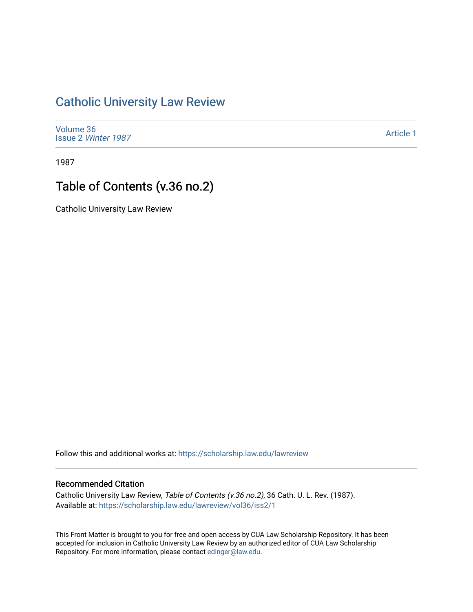## [Catholic University Law Review](https://scholarship.law.edu/lawreview)

[Volume 36](https://scholarship.law.edu/lawreview/vol36) Issue 2 [Winter 1987](https://scholarship.law.edu/lawreview/vol36/iss2) 

[Article 1](https://scholarship.law.edu/lawreview/vol36/iss2/1) 

1987

## Table of Contents (v.36 no.2)

Catholic University Law Review

Follow this and additional works at: [https://scholarship.law.edu/lawreview](https://scholarship.law.edu/lawreview?utm_source=scholarship.law.edu%2Flawreview%2Fvol36%2Fiss2%2F1&utm_medium=PDF&utm_campaign=PDFCoverPages)

## Recommended Citation

Catholic University Law Review, Table of Contents (v.36 no.2), 36 Cath. U. L. Rev. (1987). Available at: [https://scholarship.law.edu/lawreview/vol36/iss2/1](https://scholarship.law.edu/lawreview/vol36/iss2/1?utm_source=scholarship.law.edu%2Flawreview%2Fvol36%2Fiss2%2F1&utm_medium=PDF&utm_campaign=PDFCoverPages)

This Front Matter is brought to you for free and open access by CUA Law Scholarship Repository. It has been accepted for inclusion in Catholic University Law Review by an authorized editor of CUA Law Scholarship Repository. For more information, please contact [edinger@law.edu.](mailto:edinger@law.edu)